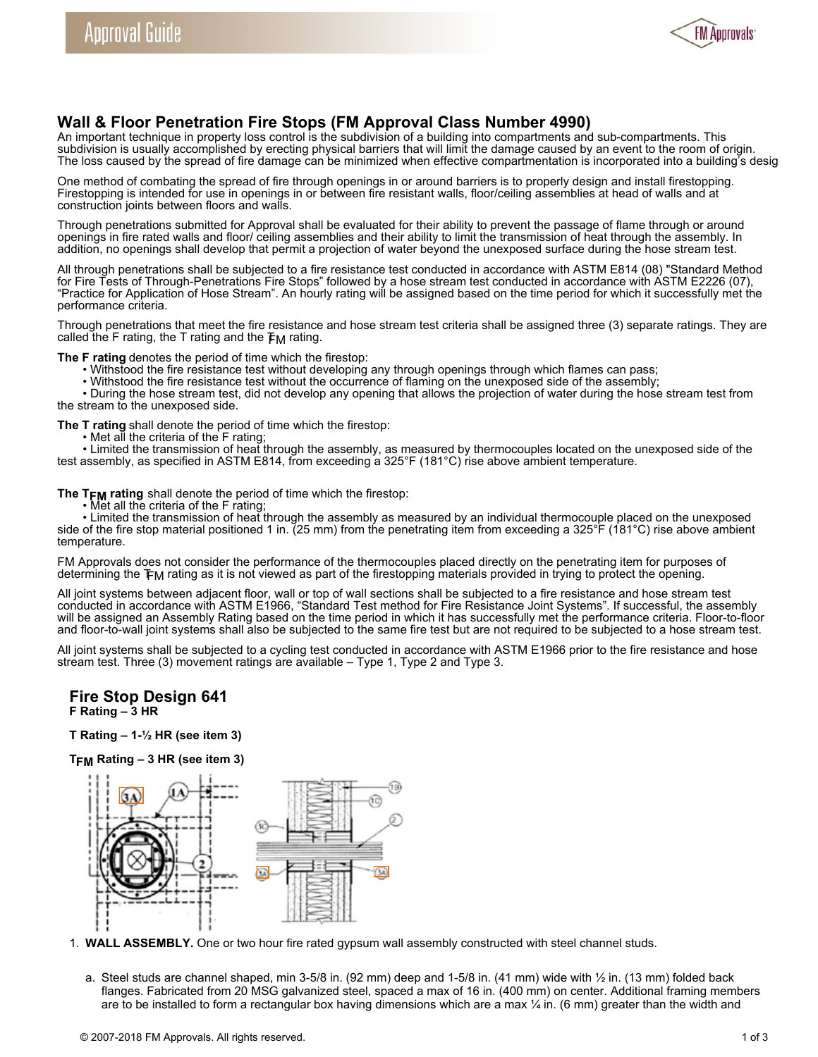

# **Wall & Floor Penetration Fire Stops (FM Approval Class Number 4990)**

An important technique in property loss control is the subdivision of a building into compartments and sub-compartments. This subdivision is usually accomplished by erecting physical barriers that will limit the damage caused by an event to the room of origin. The loss caused by the spread of fire damage can be minimized when effective compartmentation is incorporated into a building's desig

One method of combating the spread of fire through openings in or around barriers is to properly design and install firestopping. Firestopping is intended for use in openings in or between fire resistant walls, floor/ceiling assemblies at head of walls and at construction joints between floors and walls.

Through penetrations submitted for Approval shall be evaluated for their ability to prevent the passage of flame through or around openings in fire rated walls and floor/ ceiling assemblies and their ability to limit the transmission of heat through the assembly. In addition, no openings shall develop that permit a projection of water beyond the unexposed surface during the hose stream test.

All through penetrations shall be subjected to a fire resistance test conducted in accordance with ASTM E814 (08) "Standard Method for Fire Tests of Through-Penetrations Fire Stops" followed by a hose stream test conducted in accordance with ASTM E2226 (07), "Practice for Application of Hose Stream". An hourly rating will be assigned based on the time period for which it successfully met the performance criteria.

Through penetrations that meet the fire resistance and hose stream test criteria shall be assigned three (3) separate ratings. They are called the F rating, the T rating and the  $F_M$  rating.

**The F rating** denotes the period of time which the firestop:

- Withstood the fire resistance test without developing any through openings through which flames can pass;
- Withstood the fire resistance test without the occurrence of flaming on the unexposed side of the assembly;

• During the hose stream test, did not develop any opening that allows the projection of water during the hose stream test from the stream to the unexposed side.

- **The T rating** shall denote the period of time which the firestop:
	- Met all the criteria of the F rating;

• Limited the transmission of heat through the assembly, as measured by thermocouples located on the unexposed side of the test assembly, as specified in ASTM E814, from exceeding a 325°F (181°C) rise above ambient temperature.

**The TFM rating** shall denote the period of time which the firestop:

• Met all the criteria of the F rating;

• Limited the transmission of heat through the assembly as measured by an individual thermocouple placed on the unexposed side of the fire stop material positioned 1 in. (25 mm) from the penetrating item from exceeding a 325°F (181°C) rise above ambient temperature.

FM Approvals does not consider the performance of the thermocouples placed directly on the penetrating item for purposes of determining the TFM rating as it is not viewed as part of the firestopping materials provided in trying to protect the opening.

All joint systems between adjacent floor, wall or top of wall sections shall be subjected to a fire resistance and hose stream test conducted in accordance with ASTM E1966, "Standard Test method for Fire Resistance Joint Systems". If successful, the assembly will be assigned an Assembly Rating based on the time period in which it has successfully met the performance criteria. Floor-to-floor and floor-to-wall joint systems shall also be subjected to the same fire test but are not required to be subjected to a hose stream test.

All joint systems shall be subjected to a cycling test conducted in accordance with ASTM E1966 prior to the fire resistance and hose stream test. Three (3) movement ratings are available – Type 1, Type 2 and Type 3.

### **Fire Stop Design 641 F Rating – 3 HR**

**T Rating – 1-½ HR (see item 3)**

**TFM Rating – 3 HR (see item 3)**



- 1. **WALL ASSEMBLY.** One or two hour fire rated gypsum wall assembly constructed with steel channel studs.
	- a. Steel studs are channel shaped, min 3-5/8 in. (92 mm) deep and 1-5/8 in. (41 mm) wide with  $\frac{1}{2}$  in. (13 mm) folded back flanges. Fabricated from 20 MSG galvanized steel, spaced a max of 16 in. (400 mm) on center. Additional framing members are to be installed to form a rectangular box having dimensions which are a max  $\frac{1}{4}$  in. (6 mm) greater than the width and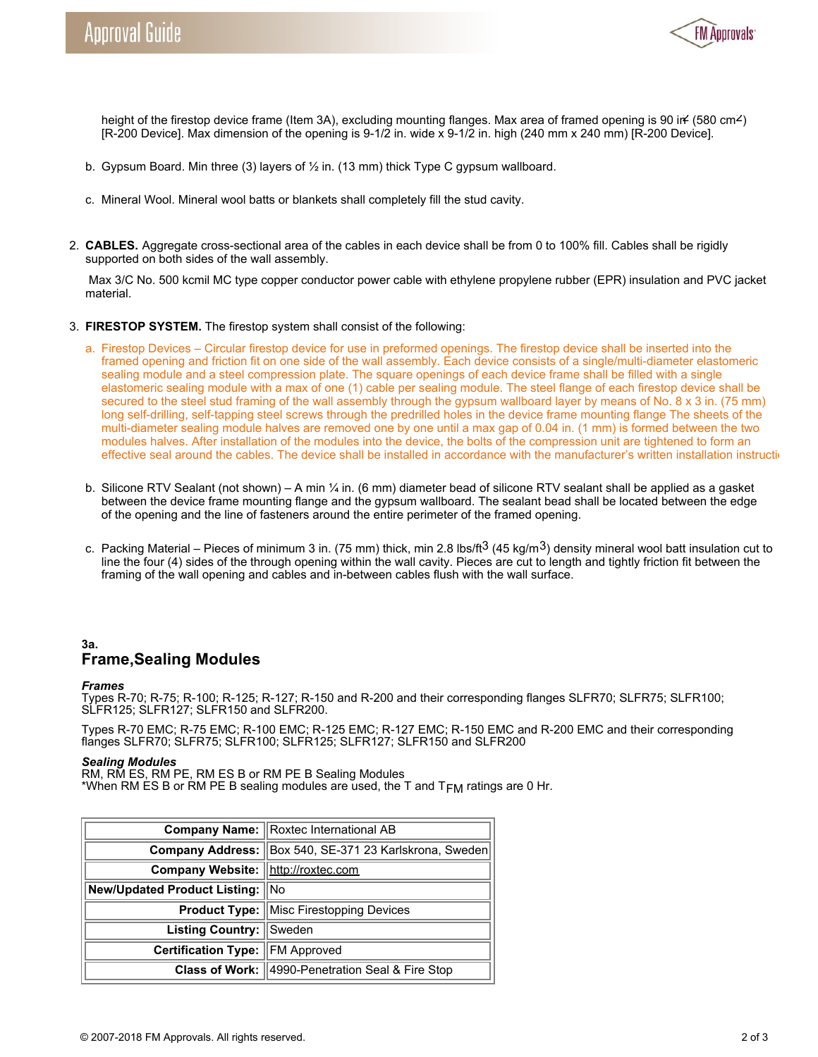

height of the firestop device frame (Item 3A), excluding mounting flanges. Max area of framed opening is 90 in (580 cm<sup>2</sup>) [R-200 Device]. Max dimension of the opening is 9-1/2 in. wide x 9-1/2 in. high (240 mm x 240 mm) [R-200 Device].

- b. Gypsum Board. Min three (3) layers of  $\frac{1}{2}$  in. (13 mm) thick Type C gypsum wallboard.
- c. Mineral Wool. Mineral wool batts or blankets shall completely fill the stud cavity.
- 2. **CABLES.** Aggregate cross-sectional area of the cables in each device shall be from 0 to 100% fill. Cables shall be rigidly supported on both sides of the wall assembly.

 Max 3/C No. 500 kcmil MC type copper conductor power cable with ethylene propylene rubber (EPR) insulation and PVC jacket material.

- 3. **FIRESTOP SYSTEM.** The firestop system shall consist of the following:
	- a. Firestop Devices Circular firestop device for use in preformed openings. The firestop device shall be inserted into the framed opening and friction fit on one side of the wall assembly. Each device consists of a single/multi-diameter elastomeric sealing module and a steel compression plate. The square openings of each device frame shall be filled with a single elastomeric sealing module with a max of one (1) cable per sealing module. The steel flange of each firestop device shall be secured to the steel stud framing of the wall assembly through the gypsum wallboard layer by means of No. 8 x 3 in. (75 mm) long self-drilling, self-tapping steel screws through the predrilled holes in the device frame mounting flange The sheets of the multi-diameter sealing module halves are removed one by one until a max gap of 0.04 in. (1 mm) is formed between the two modules halves. After installation of the modules into the device, the bolts of the compression unit are tightened to form an effective seal around the cables. The device shall be installed in accordance with the manufacturer's written installation instructions.
	- b. Silicone RTV Sealant (not shown) A min ¼ in. (6 mm) diameter bead of silicone RTV sealant shall be applied as a gasket between the device frame mounting flange and the gypsum wallboard. The sealant bead shall be located between the edge of the opening and the line of fasteners around the entire perimeter of the framed opening.
	- c. Packing Material Pieces of minimum 3 in. (75 mm) thick, min 2.8 lbs/ft<sup>3</sup> (45 kg/m<sup>3</sup>) density mineral wool batt insulation cut to line the four (4) sides of the through opening within the wall cavity. Pieces are cut to length and tightly friction fit between the framing of the wall opening and cables and in-between cables flush with the wall surface.

# **3a. Frame,Sealing Modules**

#### *Frames*

Types R-70; R-75; R-100; R-125; R-127; R-150 and R-200 and their corresponding flanges SLFR70; SLFR75; SLFR100; SLFR125; SLFR127; SLFR150 and SLFR200.

Types R-70 EMC; R-75 EMC; R-100 EMC; R-125 EMC; R-127 EMC; R-150 EMC and R-200 EMC and their corresponding flanges SLFR70; SLFR75; SLFR100; SLFR125; SLFR127; SLFR150 and SLFR200

#### *Sealing Modules*

RM, RM ES, RM PE, RM ES B or RM PE B Sealing Modules \*When RM ES B or RM PE B sealing modules are used, the T and  $T_{FM}$  ratings are 0 Hr.

|                                     | Company Name: Roxtec International AB                        |
|-------------------------------------|--------------------------------------------------------------|
|                                     | Company Address: Box 540, SE-371 23 Karlskrona, Sweden       |
| Company Website:  http://roxtec.com |                                                              |
| New/Updated Product Listing:  No    |                                                              |
|                                     | <b>Product Type:   Misc Firestopping Devices</b>             |
| Listing Country: Sweden             |                                                              |
| Certification Type: FM Approved     |                                                              |
|                                     | <b>Class of Work: 14990-Penetration Seal &amp; Fire Stop</b> |